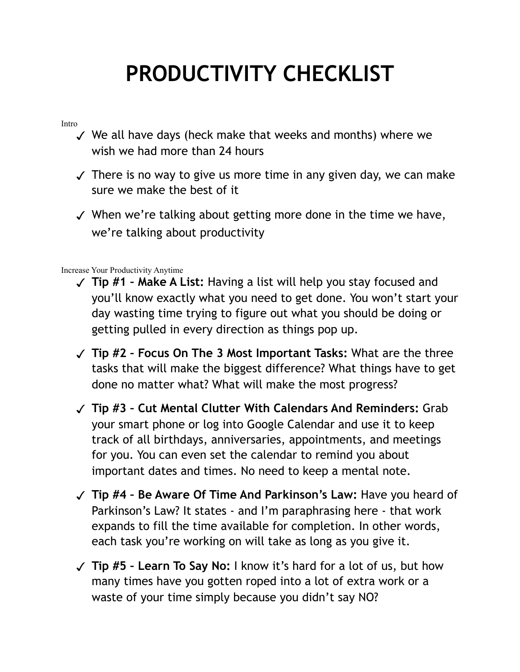## **PRODUCTIVITY CHECKLIST**

## Intro

- ✓ We all have days (heck make that weeks and months) where we wish we had more than 24 hours
- $\sqrt{\ }$  There is no way to give us more time in any given day, we can make sure we make the best of it
- ✓ When we're talking about getting more done in the time we have, we're talking about productivity

Increase Your Productivity Anytime

- ✓ **Tip #1 Make A List:** Having a list will help you stay focused and you'll know exactly what you need to get done. You won't start your day wasting time trying to figure out what you should be doing or getting pulled in every direction as things pop up.
- ✓ **Tip #2 Focus On The 3 Most Important Tasks:** What are the three tasks that will make the biggest difference? What things have to get done no matter what? What will make the most progress?
- ✓ **Tip #3 Cut Mental Clutter With Calendars And Reminders:** Grab your smart phone or log into Google Calendar and use it to keep track of all birthdays, anniversaries, appointments, and meetings for you. You can even set the calendar to remind you about important dates and times. No need to keep a mental note.
- ✓ **Tip #4 Be Aware Of Time And Parkinson's Law:** Have you heard of Parkinson's Law? It states - and I'm paraphrasing here - that work expands to fill the time available for completion. In other words, each task you're working on will take as long as you give it.
- ✓ **Tip #5 Learn To Say No:** I know it's hard for a lot of us, but how many times have you gotten roped into a lot of extra work or a waste of your time simply because you didn't say NO?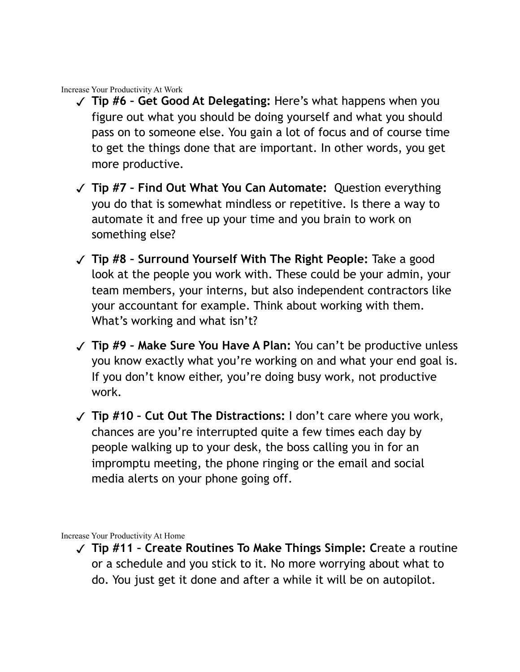Increase Your Productivity At Work

- ✓ **Tip #6 Get Good At Delegating:** Here's what happens when you figure out what you should be doing yourself and what you should pass on to someone else. You gain a lot of focus and of course time to get the things done that are important. In other words, you get more productive.
- ✓ **Tip #7 Find Out What You Can Automate:** Question everything you do that is somewhat mindless or repetitive. Is there a way to automate it and free up your time and you brain to work on something else?
- ✓ **Tip #8 Surround Yourself With The Right People:** Take a good look at the people you work with. These could be your admin, your team members, your interns, but also independent contractors like your accountant for example. Think about working with them. What's working and what isn't?
- ✓ **Tip #9 Make Sure You Have A Plan:** You can't be productive unless you know exactly what you're working on and what your end goal is. If you don't know either, you're doing busy work, not productive work.
- ✓ **Tip #10 Cut Out The Distractions:** I don't care where you work, chances are you're interrupted quite a few times each day by people walking up to your desk, the boss calling you in for an impromptu meeting, the phone ringing or the email and social media alerts on your phone going off.

Increase Your Productivity At Home

✓ **Tip #11 – Create Routines To Make Things Simple: C**reate a routine or a schedule and you stick to it. No more worrying about what to do. You just get it done and after a while it will be on autopilot.